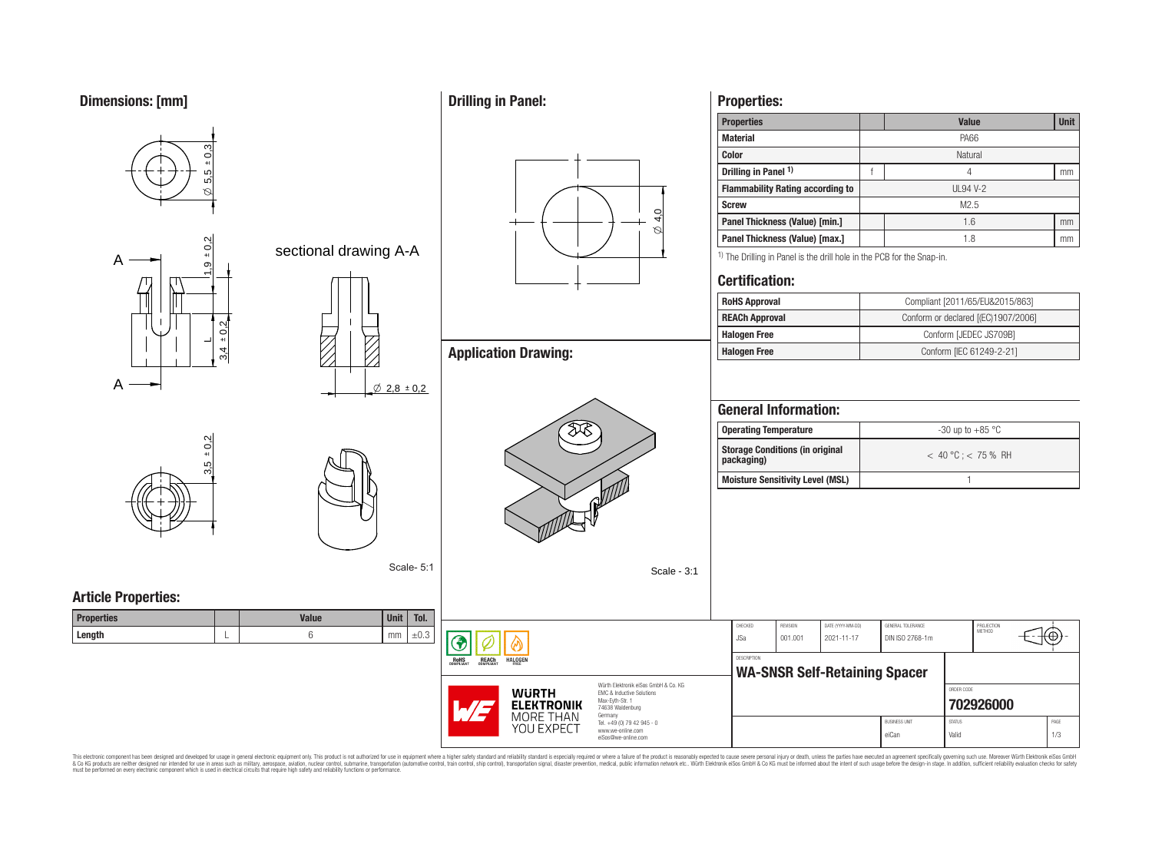



This electronic component has been designed and developed for usage in general electronic equipment only. This product is not authorized for use in equipment where a higher safely standard and reliability standard si espec & Ook produces the membed of the membed of the steam such as maility, aerospes, avidion, much membed membed member of the membed membed membed membed membed membed membed membed membed membed membed membed membed membed me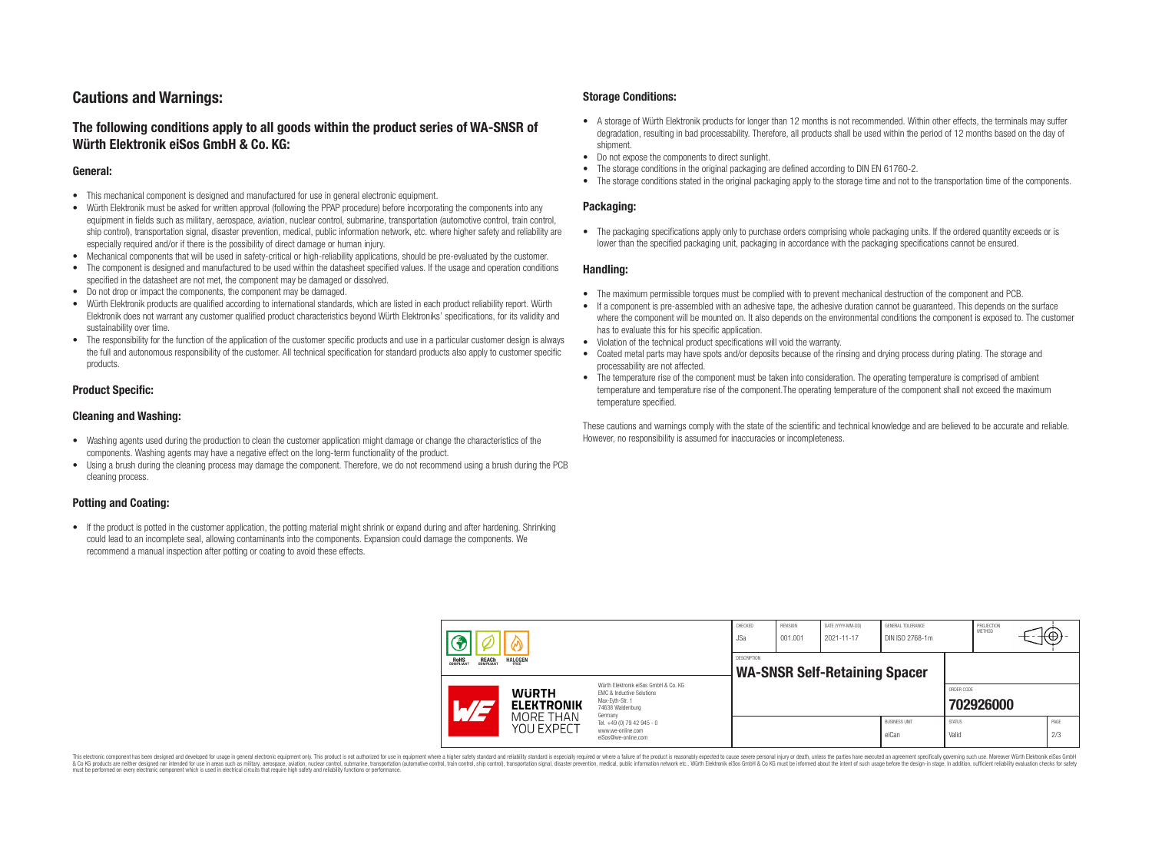# **Cautions and Warnings:**

# **The following conditions apply to all goods within the product series of WA-SNSR of Würth Elektronik eiSos GmbH & Co. KG:**

### **General:**

- This mechanical component is designed and manufactured for use in general electronic equipment.
- Würth Elektronik must be asked for written approval (following the PPAP procedure) before incorporating the components into any equipment in fields such as military, aerospace, aviation, nuclear control, submarine, transportation (automotive control, train control, ship control), transportation signal, disaster prevention, medical, public information network, etc. where higher safety and reliability are especially required and/or if there is the possibility of direct damage or human injury.
- Mechanical components that will be used in safety-critical or high-reliability applications, should be pre-evaluated by the customer.
- The component is designed and manufactured to be used within the datasheet specified values. If the usage and operation conditions specified in the datasheet are not met, the component may be damaged or dissolved.
- Do not drop or impact the components, the component may be damaged.<br>• Wirth Elektronik products are qualified according to international standard
- Würth Elektronik products are qualified according to international standards, which are listed in each product reliability report. Würth Elektronik does not warrant any customer qualified product characteristics beyond Würth Elektroniks' specifications, for its validity and sustainability over time.
- The responsibility for the function of the application of the customer specific products and use in a particular customer design is always the full and autonomous responsibility of the customer. All technical specification for standard products also apply to customer specific products.

### **Product Specific:**

### **Cleaning and Washing:**

- Washing agents used during the production to clean the customer application might damage or change the characteristics of the components. Washing agents may have a negative effect on the long-term functionality of the product.
- Using a brush during the cleaning process may damage the component. Therefore, we do not recommend using a brush during the PCB cleaning process.

# **Potting and Coating:**

• If the product is potted in the customer application, the potting material might shrink or expand during and after hardening. Shrinking could lead to an incomplete seal, allowing contaminants into the components. Expansion could damage the components. We recommend a manual inspection after potting or coating to avoid these effects.

### **Storage Conditions:**

- A storage of Würth Elektronik products for longer than 12 months is not recommended. Within other effects, the terminals may suffer degradation, resulting in bad processability. Therefore, all products shall be used within the period of 12 months based on the day of shipment.
- Do not expose the components to direct sunlight.<br>• The storage conditions in the original packaging
- The storage conditions in the original packaging are defined according to DIN EN 61760-2.
- The storage conditions stated in the original packaging apply to the storage time and not to the transportation time of the components.

### **Packaging:**

• The packaging specifications apply only to purchase orders comprising whole packaging units. If the ordered quantity exceeds or is lower than the specified packaging unit, packaging in accordance with the packaging specifications cannot be ensured.

### **Handling:**

- The maximum permissible torques must be complied with to prevent mechanical destruction of the component and PCB.
- If a component is pre-assembled with an adhesive tape, the adhesive duration cannot be guaranteed. This depends on the surface where the component will be mounted on. It also depends on the environmental conditions the component is exposed to. The customer has to evaluate this for his specific application.
- Violation of the technical product specifications will void the warranty.
- Coated metal parts may have spots and/or deposits because of the rinsing and drying process during plating. The storage and processability are not affected.
- The temperature rise of the component must be taken into consideration. The operating temperature is comprised of ambient temperature and temperature rise of the component.The operating temperature of the component shall not exceed the maximum temperature specified.

These cautions and warnings comply with the state of the scientific and technical knowledge and are believed to be accurate and reliable. However, no responsibility is assumed for inaccuracies or incompleteness.

|  |                                                |                                                              |                                                                                                                                                                                               | CHECKED<br><b>JSa</b>                               | REVISION<br>001.001 | DATE (YYYY-MM-DD)<br>2021-11-17 | <b>GENERAL TOLERANCE</b><br>DIN ISO 2768-1m |                        | PROJECTION<br><b>METHOD</b> | $+(\oplus)^+$ |             |
|--|------------------------------------------------|--------------------------------------------------------------|-----------------------------------------------------------------------------------------------------------------------------------------------------------------------------------------------|-----------------------------------------------------|---------------------|---------------------------------|---------------------------------------------|------------------------|-----------------------------|---------------|-------------|
|  | <b>REACH</b><br>COMPLIANT<br>ROHS<br>COMPLIANT | <b>HALOGEN</b>                                               |                                                                                                                                                                                               | DESCRIPTION<br><b>WA-SNSR Self-Retaining Spacer</b> |                     |                                 |                                             |                        |                             |               |             |
|  | $\overline{\phantom{a}}$                       | <b>WURTH</b><br><b>ELEKTRONIK</b><br>MORE THAN<br>YOU EXPECT | Würth Elektronik eiSos GmbH & Co. KG<br>EMC & Inductive Solutions<br>Max-Eyth-Str. 1<br>74638 Waldenburg<br>Germany<br>Tel. +49 (0) 79 42 945 - 0<br>www.we-online.com<br>eiSos@we-online.com |                                                     |                     |                                 |                                             | ORDER CODE             | 702926000                   |               |             |
|  |                                                |                                                              |                                                                                                                                                                                               |                                                     |                     |                                 | <b>BUSINESS UNIT</b><br>eiCan               | <b>STATUS</b><br>Valid |                             |               | PAGE<br>2/3 |

This electronic component has been designed and developed for usage in general electronic equipment only. This product is not authorized for use in equipment where a higher safety standard and reliability standard si espec & Ook produces the membed of the membed of the steam such as maility, aerospes, avidion, much membed membed member of the membed membed membed membed membed membed membed membed membed membed membed membed membed membed me